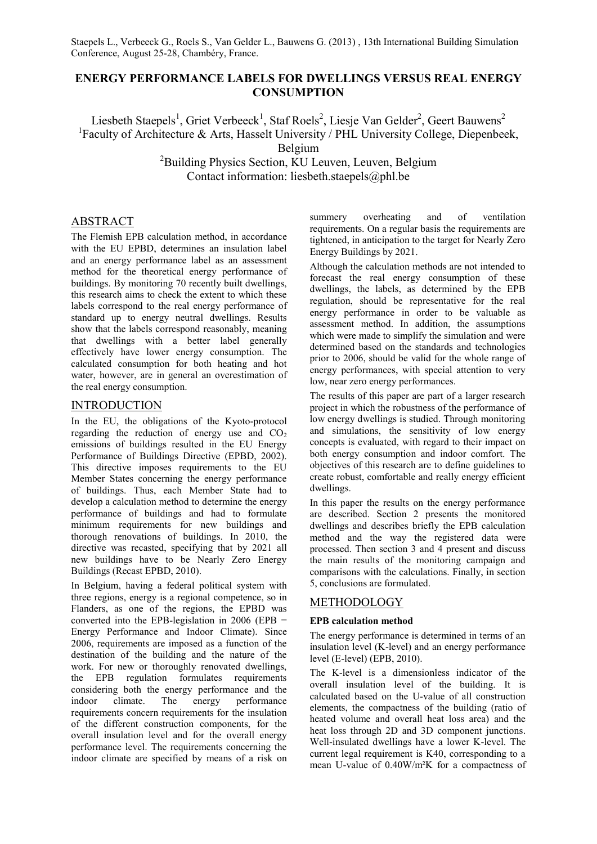Staepels L., Verbeeck G., Roels S., Van Gelder L., Bauwens G. (2013) , 13th International Building Simulation Conference, August 25-28, Chambéry, France.

# **ENERGY PERFORMANCE LABELS FOR DWELLINGS VERSUS REAL ENERGY CONSUMPTION**

Liesbeth Staepels<sup>1</sup>, Griet Verbeeck<sup>1</sup>, Staf Roels<sup>2</sup>, Liesje Van Gelder<sup>2</sup>, Geert Bauwens<sup>2</sup> <sup>1</sup>Faculty of Architecture & Arts, Hasselt University / PHL University College, Diepenbeek,

Belgium

<sup>2</sup>Building Physics Section, KU Leuven, Leuven, Belgium Contact information: liesbeth.staepels@phl.be

## ABSTRACT

The Flemish EPB calculation method, in accordance with the EU EPBD, determines an insulation label and an energy performance label as an assessment method for the theoretical energy performance of buildings. By monitoring 70 recently built dwellings, this research aims to check the extent to which these labels correspond to the real energy performance of standard up to energy neutral dwellings. Results show that the labels correspond reasonably, meaning that dwellings with a better label generally effectively have lower energy consumption. The calculated consumption for both heating and hot water, however, are in general an overestimation of the real energy consumption.

## **INTRODUCTION**

In the EU, the obligations of the Kyoto-protocol regarding the reduction of energy use and  $CO<sub>2</sub>$ emissions of buildings resulted in the EU Energy Performance of Buildings Directive (EPBD, 2002). This directive imposes requirements to the EU Member States concerning the energy performance of buildings. Thus, each Member State had to develop a calculation method to determine the energy performance of buildings and had to formulate minimum requirements for new buildings and thorough renovations of buildings. In 2010, the directive was recasted, specifying that by 2021 all new buildings have to be Nearly Zero Energy Buildings (Recast EPBD, 2010).

In Belgium, having a federal political system with three regions, energy is a regional competence, so in Flanders, as one of the regions, the EPBD was converted into the EPB-legislation in  $2006$  (EPB = Energy Performance and Indoor Climate). Since 2006, requirements are imposed as a function of the destination of the building and the nature of the work. For new or thoroughly renovated dwellings, the EPB regulation formulates requirements considering both the energy performance and the indoor climate. The energy performance requirements concern requirements for the insulation of the different construction components, for the overall insulation level and for the overall energy performance level. The requirements concerning the indoor climate are specified by means of a risk on summery overheating and of ventilation requirements. On a regular basis the requirements are tightened, in anticipation to the target for Nearly Zero Energy Buildings by 2021.

Although the calculation methods are not intended to forecast the real energy consumption of these dwellings, the labels, as determined by the EPB regulation, should be representative for the real energy performance in order to be valuable as assessment method. In addition, the assumptions which were made to simplify the simulation and were determined based on the standards and technologies prior to 2006, should be valid for the whole range of energy performances, with special attention to very low, near zero energy performances.

The results of this paper are part of a larger research project in which the robustness of the performance of low energy dwellings is studied. Through monitoring and simulations, the sensitivity of low energy concepts is evaluated, with regard to their impact on both energy consumption and indoor comfort. The objectives of this research are to define guidelines to create robust, comfortable and really energy efficient dwellings.

In this paper the results on the energy performance are described. Section 2 presents the monitored dwellings and describes briefly the EPB calculation method and the way the registered data were processed. Then section 3 and 4 present and discuss the main results of the monitoring campaign and comparisons with the calculations. Finally, in section 5, conclusions are formulated.

## METHODOLOGY

### **EPB calculation method**

The energy performance is determined in terms of an insulation level (K-level) and an energy performance level (E-level) (EPB, 2010).

The K-level is a dimensionless indicator of the overall insulation level of the building. It is calculated based on the U-value of all construction elements, the compactness of the building (ratio of heated volume and overall heat loss area) and the heat loss through 2D and 3D component junctions. Well-insulated dwellings have a lower K-level. The current legal requirement is K40, corresponding to a mean U-value of 0.40W/m²K for a compactness of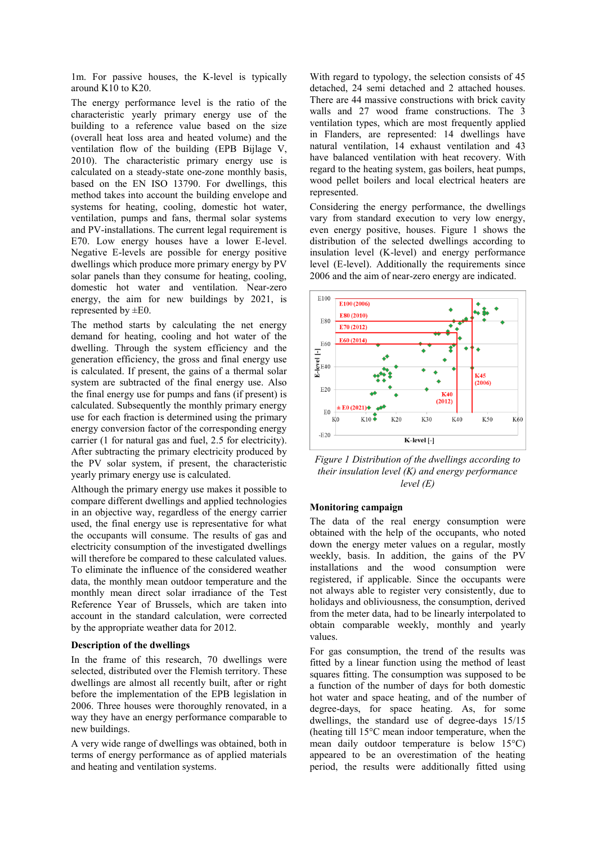1m. For passive houses, the K-level is typically around K10 to K20.

The energy performance level is the ratio of the characteristic yearly primary energy use of the building to a reference value based on the size (overall heat loss area and heated volume) and the ventilation flow of the building (EPB Bijlage V, 2010). The characteristic primary energy use is calculated on a steady-state one-zone monthly basis, based on the EN ISO 13790. For dwellings, this method takes into account the building envelope and systems for heating, cooling, domestic hot water, ventilation, pumps and fans, thermal solar systems and PV-installations. The current legal requirement is E70. Low energy houses have a lower E-level. Negative E-levels are possible for energy positive dwellings which produce more primary energy by PV solar panels than they consume for heating, cooling, domestic hot water and ventilation. Near-zero energy, the aim for new buildings by 2021, is represented by ±E0.

The method starts by calculating the net energy demand for heating, cooling and hot water of the dwelling. Through the system efficiency and the generation efficiency, the gross and final energy use is calculated. If present, the gains of a thermal solar system are subtracted of the final energy use. Also the final energy use for pumps and fans (if present) is calculated. Subsequently the monthly primary energy use for each fraction is determined using the primary energy conversion factor of the corresponding energy carrier (1 for natural gas and fuel, 2.5 for electricity). After subtracting the primary electricity produced by the PV solar system, if present, the characteristic yearly primary energy use is calculated.

Although the primary energy use makes it possible to compare different dwellings and applied technologies in an objective way, regardless of the energy carrier used, the final energy use is representative for what the occupants will consume. The results of gas and electricity consumption of the investigated dwellings will therefore be compared to these calculated values. To eliminate the influence of the considered weather data, the monthly mean outdoor temperature and the monthly mean direct solar irradiance of the Test Reference Year of Brussels, which are taken into account in the standard calculation, were corrected by the appropriate weather data for 2012.

### **Description of the dwellings**

In the frame of this research, 70 dwellings were selected, distributed over the Flemish territory. These dwellings are almost all recently built, after or right before the implementation of the EPB legislation in 2006. Three houses were thoroughly renovated, in a way they have an energy performance comparable to new buildings.

A very wide range of dwellings was obtained, both in terms of energy performance as of applied materials and heating and ventilation systems.

With regard to typology, the selection consists of 45 detached, 24 semi detached and 2 attached houses. There are 44 massive constructions with brick cavity walls and 27 wood frame constructions. The 3 ventilation types, which are most frequently applied in Flanders, are represented: 14 dwellings have natural ventilation, 14 exhaust ventilation and 43 have balanced ventilation with heat recovery. With regard to the heating system, gas boilers, heat pumps, wood pellet boilers and local electrical heaters are represented.

Considering the energy performance, the dwellings vary from standard execution to very low energy, even energy positive, houses. Figure 1 shows the distribution of the selected dwellings according to insulation level (K-level) and energy performance level (E-level). Additionally the requirements since 2006 and the aim of near-zero energy are indicated.



*Figure 1 Distribution of the dwellings according to their insulation level (K) and energy performance level (E)*

#### **Monitoring campaign**

The data of the real energy consumption were obtained with the help of the occupants, who noted down the energy meter values on a regular, mostly weekly, basis. In addition, the gains of the PV installations and the wood consumption were registered, if applicable. Since the occupants were not always able to register very consistently, due to holidays and obliviousness, the consumption, derived from the meter data, had to be linearly interpolated to obtain comparable weekly, monthly and yearly values.

For gas consumption, the trend of the results was fitted by a linear function using the method of least squares fitting. The consumption was supposed to be a function of the number of days for both domestic hot water and space heating, and of the number of degree-days, for space heating. As, for some dwellings, the standard use of degree-days 15/15 (heating till 15°C mean indoor temperature, when the mean daily outdoor temperature is below 15°C) appeared to be an overestimation of the heating period, the results were additionally fitted using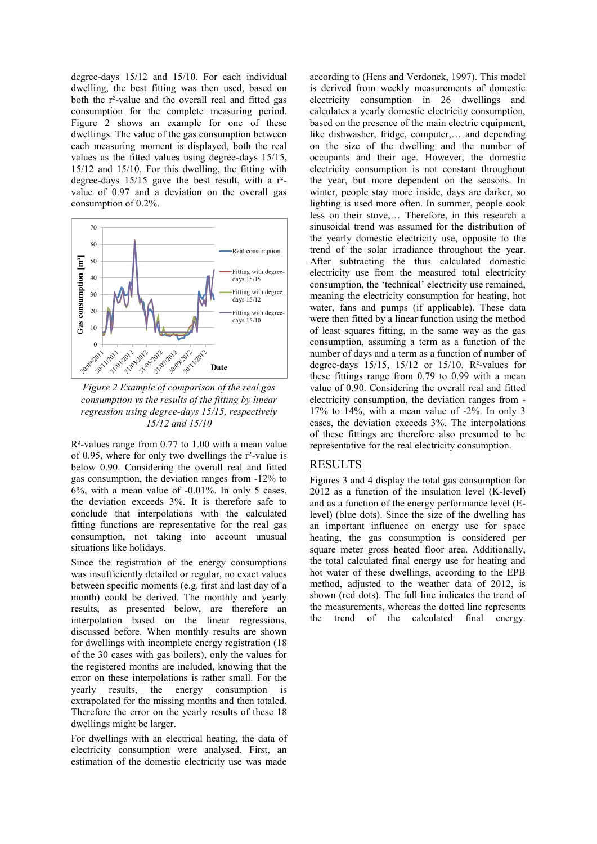degree-days 15/12 and 15/10. For each individual dwelling, the best fitting was then used, based on both the r²-value and the overall real and fitted gas consumption for the complete measuring period. Figure 2 shows an example for one of these dwellings. The value of the gas consumption between each measuring moment is displayed, both the real values as the fitted values using degree-days 15/15, 15/12 and 15/10. For this dwelling, the fitting with degree-days  $15/15$  gave the best result, with a  $r^2$ value of 0.97 and a deviation on the overall gas consumption of 0.2%.



*Figure 2 Example of comparison of the real gas consumption vs the results of the fitting by linear regression using degree-days 15/15, respectively 15/12 and 15/10*

R²-values range from 0.77 to 1.00 with a mean value of 0.95, where for only two dwellings the r²-value is below 0.90. Considering the overall real and fitted gas consumption, the deviation ranges from -12% to 6%, with a mean value of -0.01%. In only 5 cases, the deviation exceeds 3%. It is therefore safe to conclude that interpolations with the calculated fitting functions are representative for the real gas consumption, not taking into account unusual situations like holidays.

Since the registration of the energy consumptions was insufficiently detailed or regular, no exact values between specific moments (e.g. first and last day of a month) could be derived. The monthly and yearly results, as presented below, are therefore an interpolation based on the linear regressions, discussed before. When monthly results are shown for dwellings with incomplete energy registration (18 of the 30 cases with gas boilers), only the values for the registered months are included, knowing that the error on these interpolations is rather small. For the yearly results, the energy consumption is extrapolated for the missing months and then totaled. Therefore the error on the yearly results of these 18 dwellings might be larger.

For dwellings with an electrical heating, the data of electricity consumption were analysed. First, an estimation of the domestic electricity use was made

according to (Hens and Verdonck, 1997). This model is derived from weekly measurements of domestic electricity consumption in 26 dwellings and calculates a yearly domestic electricity consumption, based on the presence of the main electric equipment, like dishwasher, fridge, computer,… and depending on the size of the dwelling and the number of occupants and their age. However, the domestic electricity consumption is not constant throughout the year, but more dependent on the seasons. In winter, people stay more inside, days are darker, so lighting is used more often. In summer, people cook less on their stove,… Therefore, in this research a sinusoidal trend was assumed for the distribution of the yearly domestic electricity use, opposite to the trend of the solar irradiance throughout the year. After subtracting the thus calculated domestic electricity use from the measured total electricity consumption, the 'technical' electricity use remained, meaning the electricity consumption for heating, hot water, fans and pumps (if applicable). These data were then fitted by a linear function using the method of least squares fitting, in the same way as the gas consumption, assuming a term as a function of the number of days and a term as a function of number of degree-days  $15/15$ ,  $15/12$  or  $15/10$ . R<sup>2</sup>-values for these fittings range from 0.79 to 0.99 with a mean value of 0.90. Considering the overall real and fitted electricity consumption, the deviation ranges from - 17% to 14%, with a mean value of -2%. In only 3 cases, the deviation exceeds 3%. The interpolations of these fittings are therefore also presumed to be representative for the real electricity consumption.

## RESULTS

Figures 3 and 4 display the total gas consumption for 2012 as a function of the insulation level (K-level) and as a function of the energy performance level (Elevel) (blue dots). Since the size of the dwelling has an important influence on energy use for space heating, the gas consumption is considered per square meter gross heated floor area. Additionally, the total calculated final energy use for heating and hot water of these dwellings, according to the EPB method, adjusted to the weather data of 2012, is shown (red dots). The full line indicates the trend of the measurements, whereas the dotted line represents the trend of the calculated final energy.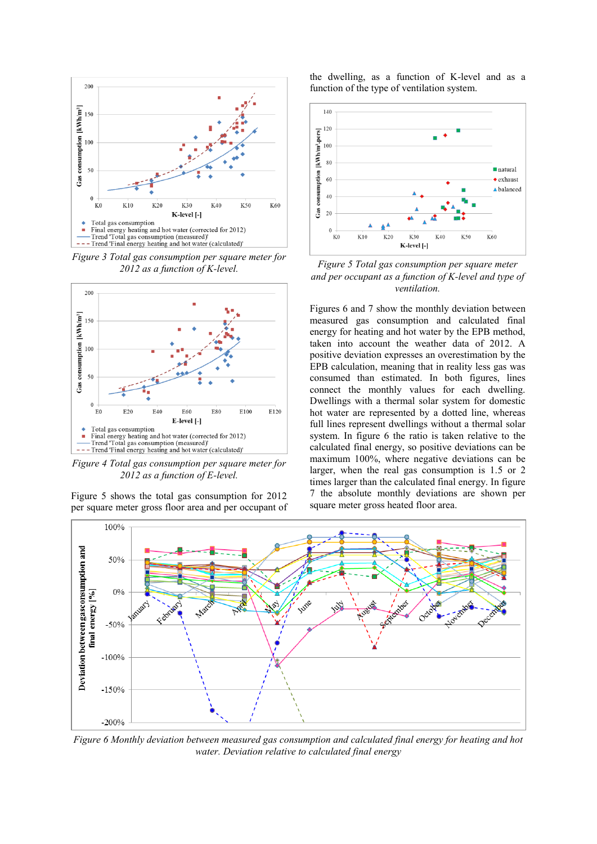

*Figure 3 Total gas consumption per square meter for 2012 as a function of K-level.*



*Figure 4 Total gas consumption per square meter for 2012 as a function of E-level.*

Figure 5 shows the total gas consumption for 2012 per square meter gross floor area and per occupant of the dwelling, as a function of K-level and as a function of the type of ventilation system.



*Figure 5 Total gas consumption per square meter and per occupant as a function of K-level and type of ventilation.* 

Figures 6 and 7 show the monthly deviation between measured gas consumption and calculated final energy for heating and hot water by the EPB method, taken into account the weather data of 2012. A positive deviation expresses an overestimation by the EPB calculation, meaning that in reality less gas was consumed than estimated. In both figures, lines connect the monthly values for each dwelling. Dwellings with a thermal solar system for domestic hot water are represented by a dotted line, whereas full lines represent dwellings without a thermal solar system. In figure 6 the ratio is taken relative to the calculated final energy, so positive deviations can be maximum 100%, where negative deviations can be larger, when the real gas consumption is 1.5 or 2 times larger than the calculated final energy. In figure 7 the absolute monthly deviations are shown per square meter gross heated floor area.



*Figure 6 Monthly deviation between measured gas consumption and calculated final energy for heating and hot water. Deviation relative to calculated final energy*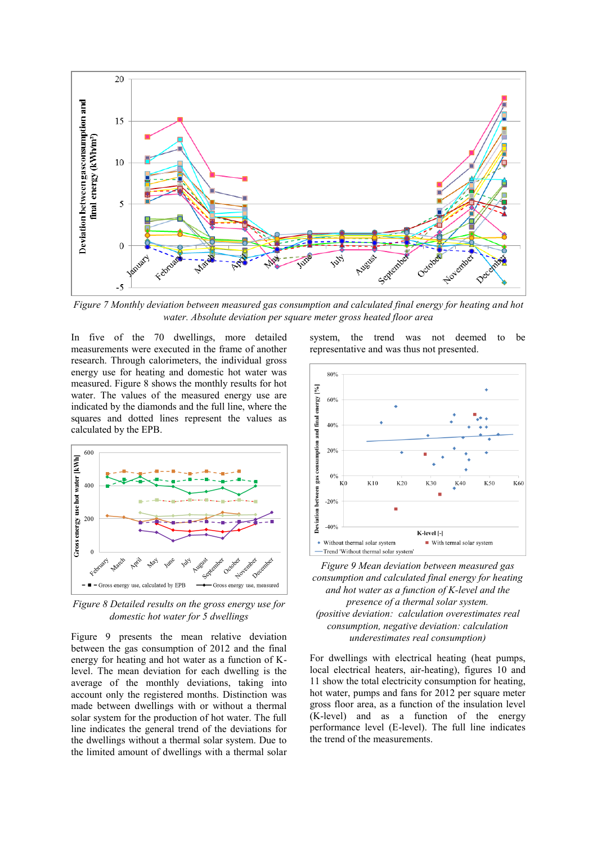

*Figure 7 Monthly deviation between measured gas consumption and calculated final energy for heating and hot water. Absolute deviation per square meter gross heated floor area*

In five of the 70 dwellings, more detailed measurements were executed in the frame of another research. Through calorimeters, the individual gross energy use for heating and domestic hot water was measured. Figure 8 shows the monthly results for hot water. The values of the measured energy use are indicated by the diamonds and the full line, where the squares and dotted lines represent the values as calculated by the EPB.



*Figure 8 Detailed results on the gross energy use for domestic hot water for 5 dwellings*

Figure 9 presents the mean relative deviation between the gas consumption of 2012 and the final energy for heating and hot water as a function of Klevel. The mean deviation for each dwelling is the average of the monthly deviations, taking into account only the registered months. Distinction was made between dwellings with or without a thermal solar system for the production of hot water. The full line indicates the general trend of the deviations for the dwellings without a thermal solar system. Due to the limited amount of dwellings with a thermal solar

system, the trend was not deemed to be representative and was thus not presented.



*Figure 9 Mean deviation between measured gas consumption and calculated final energy for heating and hot water as a function of K-level and the presence of a thermal solar system. (positive deviation: calculation overestimates real consumption, negative deviation: calculation underestimates real consumption)* 

For dwellings with electrical heating (heat pumps, local electrical heaters, air-heating), figures 10 and 11 show the total electricity consumption for heating, hot water, pumps and fans for 2012 per square meter gross floor area, as a function of the insulation level (K-level) and as a function of the energy performance level (E-level). The full line indicates the trend of the measurements.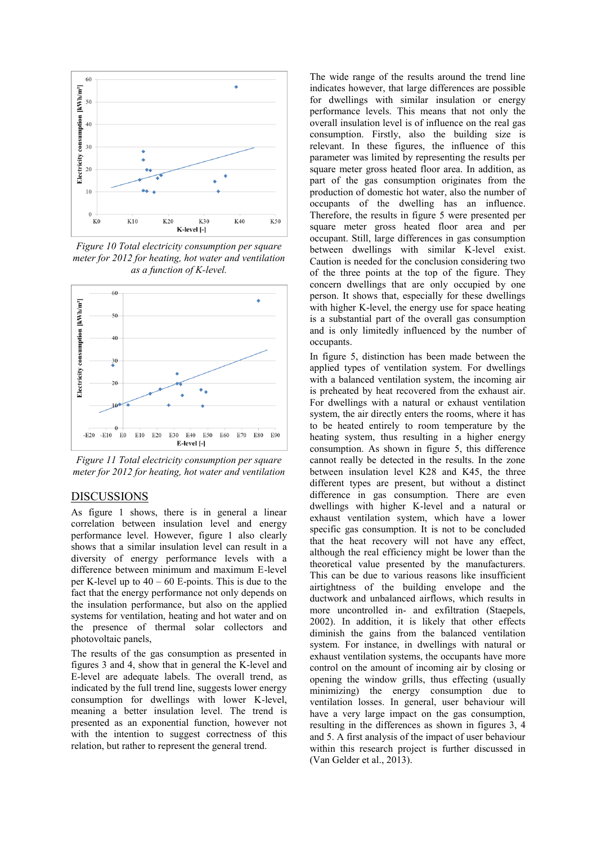

*Figure 10 Total electricity consumption per square meter for 2012 for heating, hot water and ventilation as a function of K-level.* 



*Figure 11 Total electricity consumption per square meter for 2012 for heating, hot water and ventilation* 

### **DISCUSSIONS**

As figure 1 shows, there is in general a linear correlation between insulation level and energy performance level. However, figure 1 also clearly shows that a similar insulation level can result in a diversity of energy performance levels with a difference between minimum and maximum E-level per K-level up to  $40 - 60$  E-points. This is due to the fact that the energy performance not only depends on the insulation performance, but also on the applied systems for ventilation, heating and hot water and on the presence of thermal solar collectors and photovoltaic panels,

The results of the gas consumption as presented in figures 3 and 4, show that in general the K-level and E-level are adequate labels. The overall trend, as indicated by the full trend line, suggests lower energy consumption for dwellings with lower K-level, meaning a better insulation level. The trend is presented as an exponential function, however not with the intention to suggest correctness of this relation, but rather to represent the general trend.

The wide range of the results around the trend line indicates however, that large differences are possible for dwellings with similar insulation or energy performance levels. This means that not only the overall insulation level is of influence on the real gas consumption. Firstly, also the building size is relevant. In these figures, the influence of this parameter was limited by representing the results per square meter gross heated floor area. In addition, as part of the gas consumption originates from the production of domestic hot water, also the number of occupants of the dwelling has an influence. Therefore, the results in figure 5 were presented per square meter gross heated floor area and per occupant. Still, large differences in gas consumption between dwellings with similar K-level exist. Caution is needed for the conclusion considering two of the three points at the top of the figure. They concern dwellings that are only occupied by one person. It shows that, especially for these dwellings with higher K-level, the energy use for space heating is a substantial part of the overall gas consumption and is only limitedly influenced by the number of occupants.

In figure 5, distinction has been made between the applied types of ventilation system. For dwellings with a balanced ventilation system, the incoming air is preheated by heat recovered from the exhaust air. For dwellings with a natural or exhaust ventilation system, the air directly enters the rooms, where it has to be heated entirely to room temperature by the heating system, thus resulting in a higher energy consumption. As shown in figure 5, this difference cannot really be detected in the results. In the zone between insulation level K28 and K45, the three different types are present, but without a distinct difference in gas consumption. There are even dwellings with higher K-level and a natural or exhaust ventilation system, which have a lower specific gas consumption. It is not to be concluded that the heat recovery will not have any effect, although the real efficiency might be lower than the theoretical value presented by the manufacturers. This can be due to various reasons like insufficient airtightness of the building envelope and the ductwork and unbalanced airflows, which results in more uncontrolled in- and exfiltration (Staepels, 2002). In addition, it is likely that other effects diminish the gains from the balanced ventilation system. For instance, in dwellings with natural or exhaust ventilation systems, the occupants have more control on the amount of incoming air by closing or opening the window grills, thus effecting (usually minimizing) the energy consumption due to ventilation losses. In general, user behaviour will have a very large impact on the gas consumption, resulting in the differences as shown in figures 3, 4 and 5. A first analysis of the impact of user behaviour within this research project is further discussed in (Van Gelder et al., 2013).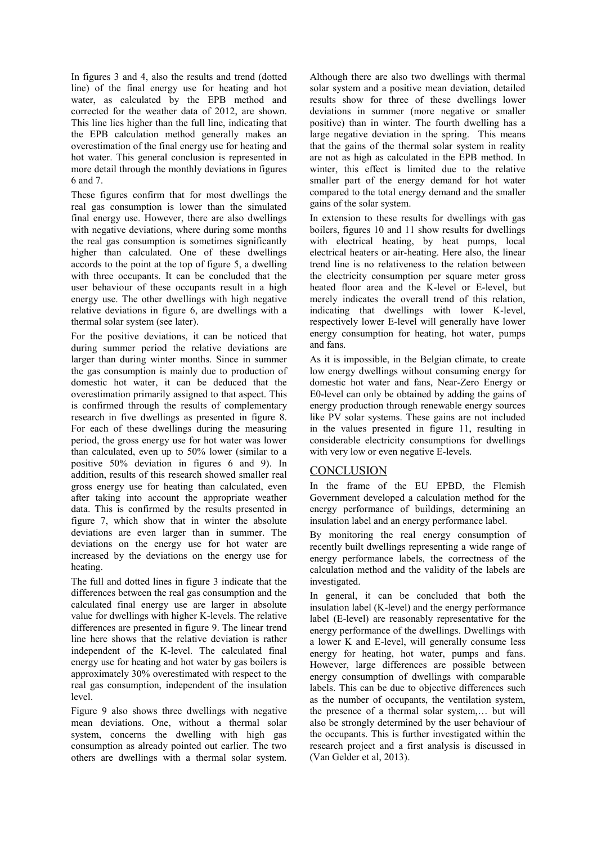In figures 3 and 4, also the results and trend (dotted line) of the final energy use for heating and hot water, as calculated by the EPB method and corrected for the weather data of 2012, are shown. This line lies higher than the full line, indicating that the EPB calculation method generally makes an overestimation of the final energy use for heating and hot water. This general conclusion is represented in more detail through the monthly deviations in figures 6 and 7.

These figures confirm that for most dwellings the real gas consumption is lower than the simulated final energy use. However, there are also dwellings with negative deviations, where during some months the real gas consumption is sometimes significantly higher than calculated. One of these dwellings accords to the point at the top of figure 5, a dwelling with three occupants. It can be concluded that the user behaviour of these occupants result in a high energy use. The other dwellings with high negative relative deviations in figure 6, are dwellings with a thermal solar system (see later).

For the positive deviations, it can be noticed that during summer period the relative deviations are larger than during winter months. Since in summer the gas consumption is mainly due to production of domestic hot water, it can be deduced that the overestimation primarily assigned to that aspect. This is confirmed through the results of complementary research in five dwellings as presented in figure 8. For each of these dwellings during the measuring period, the gross energy use for hot water was lower than calculated, even up to 50% lower (similar to a positive 50% deviation in figures 6 and 9). In addition, results of this research showed smaller real gross energy use for heating than calculated, even after taking into account the appropriate weather data. This is confirmed by the results presented in figure 7, which show that in winter the absolute deviations are even larger than in summer. The deviations on the energy use for hot water are increased by the deviations on the energy use for heating.

The full and dotted lines in figure 3 indicate that the differences between the real gas consumption and the calculated final energy use are larger in absolute value for dwellings with higher K-levels. The relative differences are presented in figure 9. The linear trend line here shows that the relative deviation is rather independent of the K-level. The calculated final energy use for heating and hot water by gas boilers is approximately 30% overestimated with respect to the real gas consumption, independent of the insulation level.

Figure 9 also shows three dwellings with negative mean deviations. One, without a thermal solar system, concerns the dwelling with high gas consumption as already pointed out earlier. The two others are dwellings with a thermal solar system.

Although there are also two dwellings with thermal solar system and a positive mean deviation, detailed results show for three of these dwellings lower deviations in summer (more negative or smaller positive) than in winter. The fourth dwelling has a large negative deviation in the spring. This means that the gains of the thermal solar system in reality are not as high as calculated in the EPB method. In winter, this effect is limited due to the relative smaller part of the energy demand for hot water compared to the total energy demand and the smaller gains of the solar system.

In extension to these results for dwellings with gas boilers, figures 10 and 11 show results for dwellings with electrical heating, by heat pumps, local electrical heaters or air-heating. Here also, the linear trend line is no relativeness to the relation between the electricity consumption per square meter gross heated floor area and the K-level or E-level, but merely indicates the overall trend of this relation, indicating that dwellings with lower K-level, respectively lower E-level will generally have lower energy consumption for heating, hot water, pumps and fans.

As it is impossible, in the Belgian climate, to create low energy dwellings without consuming energy for domestic hot water and fans, Near-Zero Energy or E0-level can only be obtained by adding the gains of energy production through renewable energy sources like PV solar systems. These gains are not included in the values presented in figure 11, resulting in considerable electricity consumptions for dwellings with very low or even negative E-levels.

# **CONCLUSION**

In the frame of the EU EPBD, the Flemish Government developed a calculation method for the energy performance of buildings, determining an insulation label and an energy performance label.

By monitoring the real energy consumption of recently built dwellings representing a wide range of energy performance labels, the correctness of the calculation method and the validity of the labels are investigated.

In general, it can be concluded that both the insulation label (K-level) and the energy performance label (E-level) are reasonably representative for the energy performance of the dwellings. Dwellings with a lower K and E-level, will generally consume less energy for heating, hot water, pumps and fans. However, large differences are possible between energy consumption of dwellings with comparable labels. This can be due to objective differences such as the number of occupants, the ventilation system, the presence of a thermal solar system,… but will also be strongly determined by the user behaviour of the occupants. This is further investigated within the research project and a first analysis is discussed in (Van Gelder et al, 2013).